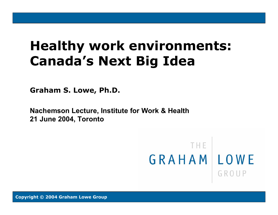## **Healthy work environments: Canada's Next Big Idea**

**Graham S. Lowe, Ph.D.**

**Nachemson Lecture, Institute for Work & Health 21 June 2004, Toronto**

> THE. GRAHAMILOWE GROUP

www.grahamlowe.ca www.grahamlowe.ca <sup>1</sup> Copyright © The Graham Lowe Group **Copyright © 2004 Graham Lowe Group**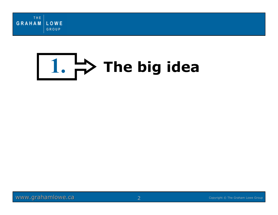

# 1.  $\Rightarrow$  The big idea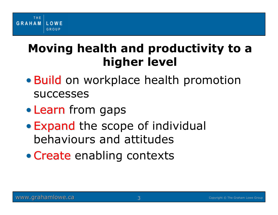### **Moving health and productivity to a higher level**

- Build on workplace health promotion successes
- Learn from gaps
- • Expand the scope of individual behaviours and attitudes
- Create enabling contexts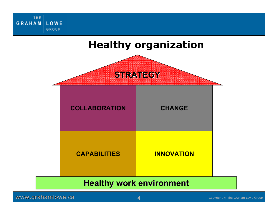THE **GRAHAM** LOWE GROUP

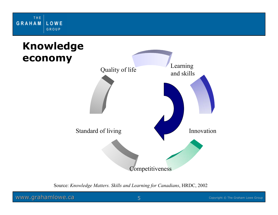

#### **Knowledge economy**



Source: *Knowledge Matters. Skills and Learning for Canadians*, HRDC, 2002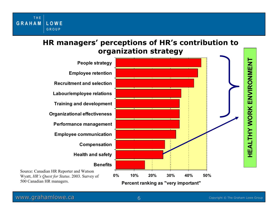#### **HR managers' perceptions of HR's contribution to organization strategy**



www.grahamlowe.ca entertainment of the Graham Lowe Group

THE

LOWE GROUP

**GRAHAM**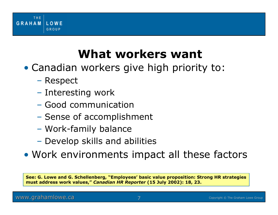

#### **What workers want**

- Canadian workers give high priority to:
	- Respect
	- Interesting work
	- Good communication
	- Sense of accomplishment
	- Work-family balance
	- Develop skills and abilities
- Work environments impact all these factors

**See: G. Lowe and G. Schellenberg, "Employees' basic value proposition: Strong HR strategies must address work values,"** *Canadian HR Reporter* **(15 July 2002): 18, 23.**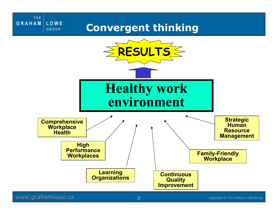#### **Convergent thinking**



#### www.grahamlowe.ca and the set of the Graham Lowe Group Copyright © The Graham Lowe Group

THE

LOWE GROUP

**GRAHAM**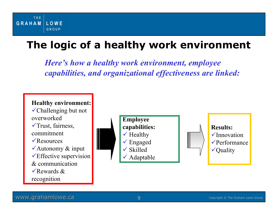#### THE **GRAHAM LOWE** GROUP

#### **The logic of a healthy work environment**

*Here's how a healthy work environment, employee capabilities, and organizational effectiveness are linked:*

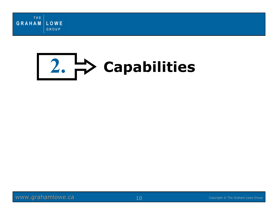

## **2. Capabilities**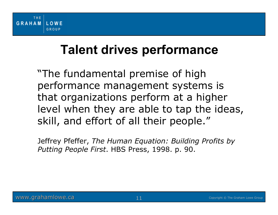#### **Talent drives performance**

"The fundamental premise of high performance management systems is that organizations perform at a higher level when they are able to tap the ideas, skill, and effort of all their people."

Jeffrey Pfeffer, *The Human Equation: Building Profits by Putting People First*. HBS Press, 1998. p. 90.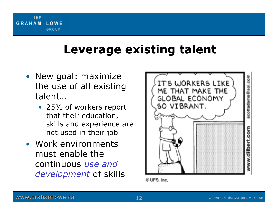

#### **Leverage existing talent**

- New goal: maximize the use of all existing talent…
	- 25% of workers report that their education, skills and experience are not used in their job
- Work environments must enable the continuous *use and development* of skills



© UFS, Inc.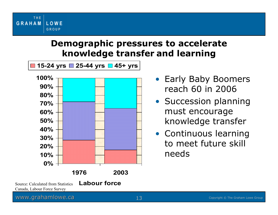



- Early Baby Boomers reach 60 in 2006
- Succession planning must encourage knowledge transfer
- Continuous learning to meet future skill needs

THE

LOWE GROUP

**GRAHAM**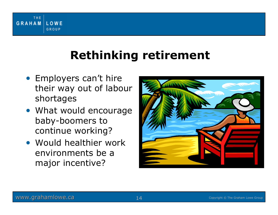

#### **Rethinking retirement**

- Employers can't hire their way out of labour shortages
- What would encourage baby-boomers to continue working?
- Would healthier work environments be a major incentive?

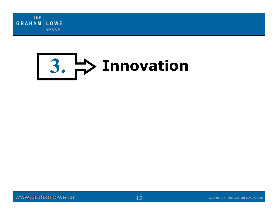

# **3. Innovation**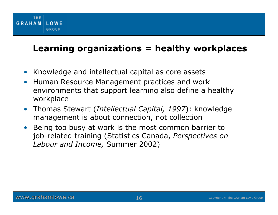

#### **Learning organizations = healthy workplaces**

- •Knowledge and intellectual capital as core assets
- • Human Resource Management practices and work environments that support learning also define a healthy workplace
- Thomas Stewart (*Intellectual Capital, 1997*): knowledge management is about connection, not collection
- $\bullet$  Being too busy at work is the most common barrier to job-related training (Statistics Canada, *Perspectives on Labour and Income,* Summer 2002)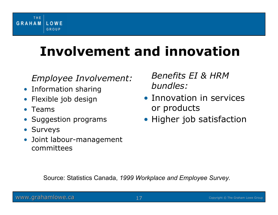

### **Involvement and innovation**

#### *Employee Involvement:*

- Information sharing
- •Flexible job design
- •Teams
- •Suggestion programs
- Surveys
- Joint labour-management committees

*Benefits EI & HRMbundles:*

- Innovation in services or products
- Higher job satisfaction

Source: Statistics Canada, *1999 Workplace and Employee Survey.*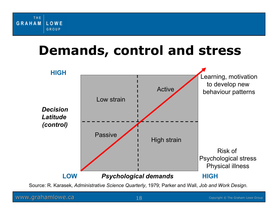

### **Demands, control and stress**



Source: R. Karasek, *Administrative Science Quarterly*, 1979; Parker and Wall, *Job and Work Design.*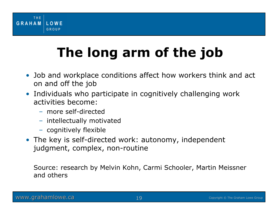

## **The long arm of the job**

- Job and workplace conditions affect how workers think and act on and off the job
- Individuals who participate in cognitively challenging work activities become:
	- more self-directed
	- intellectually motivated
	- cognitively flexible
- The key is self-directed work: autonomy, independent judgment, complex, non-routine

Source: research by Melvin Kohn, Carmi Schooler, Martin Meissner and others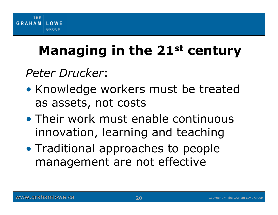

## **Managing in the 21st century**

*Peter Drucker*:

- •• Knowledge workers must be treated as assets, not costs
- Their work must enable continuous innovation, learning and teaching
- $\bullet$ • Traditional approaches to people management are not effective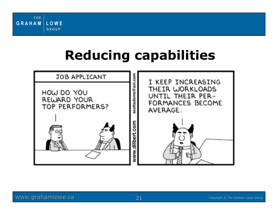

## **Reducing capabilities**

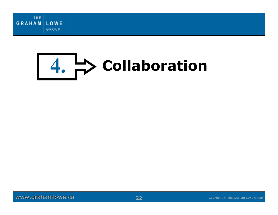

# **4. Collaboration**

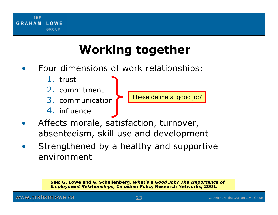

#### **Working together**

- • Four dimensions of work relationships:
	- 1. trust
	- 2. commitment
	- 3. communication
	- 4. influence



- • Affects morale, satisfaction, turnover, absenteeism, skill use and development
- • Strengthened by a healthy and supportive environment

**See: G. Lowe and G. Schellenberg,** *What's a Good Job? The Importance of Employment Relationships,* **Canadian Policy Research Networks, 2001.**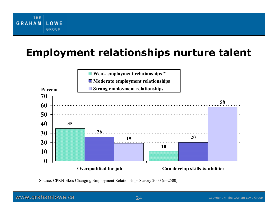#### **Employment relationships nurture talent**



Source: CPRN-Ekos Changing Employment Relationships Survey 2000 (n=2500).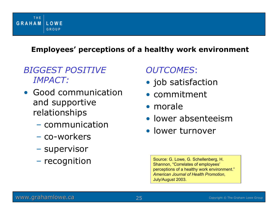#### **Employees' perceptions of a healthy work environment**

#### *BIGGEST POSITIVE IMPACT:*

- Good communication and supportive relationships
	- communication
	- co-workers
	- –– supervisor
	- – $-$  recognition

#### *OUTCOMES*:

- job satisfaction
- commitment
- morale
- lower absenteeism
- lower turnover

Source: G. Lowe, G. Schellenberg, H. Shannon, "Correlates of employees' perceptions of a healthy work environment." *American Journal of Health Promotion*, July/August 2003.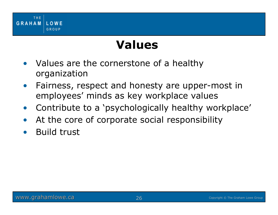

#### **Values**

- • Values are the cornerstone of a healthy organization
- $\bullet$  Fairness, respect and honesty are upper-most in employees' minds as key workplace values
- $\bullet$ Contribute to a 'psychologically healthy workplace'
- $\bullet$ At the core of corporate social responsibility
- •Build trust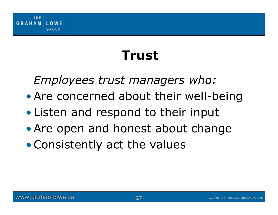

## **Trust**

*Employees trust managers who:*

• Are concerned about their well-being

- •Listen and respond to their input
- Are open and honest about change
- •Consistently act the values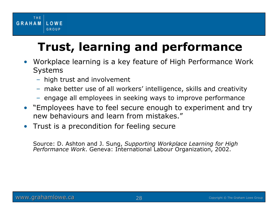

### **Trust, learning and performance**

- Workplace learning is a key feature of High Performance Work Systems
	- high trust and involvement
	- make better use of all workers' intelligence, skills and creativity
	- engage all employees in seeking ways to improve performance
- "Employees have to feel secure enough to experiment and try new behaviours and learn from mistakes."
- •Trust is a precondition for feeling secure

Source: D. Ashton and J. Sung, *Supporting Workplace Learning for High Performance Work*. Geneva: International Labour Organization, 2002.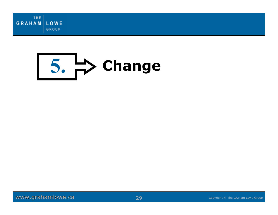



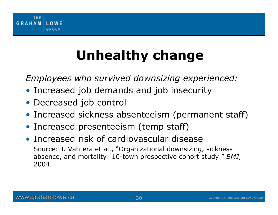

## **Unhealthy change**

*Employees who survived downsizing experienced:*

- Increased job demands and job insecurity
- Decreased job control
- Increased sickness absenteeism (permanent staff)
- Increased presenteeism (temp staff)
- Increased risk of cardiovascular diseaseSource: J. Vahtera et al., "Organizational downsizing, sickness absence, and mortality: 10-town prospective cohort study." *BMJ*, 2004.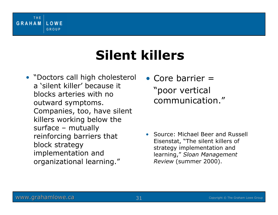

## **Silent killers**

- "Doctors call high cholesterol a 'silent killer' because it blocks arteries with no outward symptoms. Companies, too, have silent killers working below the surface – mutually reinforcing barriers that block strategy implementation and organizational learning."
- Core barrier = "poor vertical communication."

• Source: Michael Beer and Russell Eisenstat, "The silent killers of strategy implementation and learning," *Sloan Management Review* (summer 2000).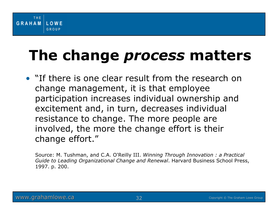## **The change** *process* **matters**

• "If there is one clear result from the research on change management, it is that employee participation increases individual ownership and excitement and, in turn, decreases individual resistance to change. The more people are involved, the more the change effort is their change effort."

Source: M. Tushman, and C.A. O'Reilly III. *Winning Through Innovation : a Practical Guide to Leading Organizational Change and Renewal*. Harvard Business School Press, 1997. p. 200.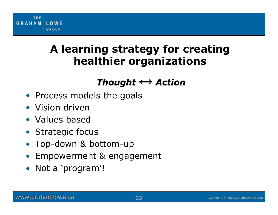

#### **A learning strategy for creating healthier organizations**

#### *Thought Thought <sup>↔</sup> Action*

- Process models the goals
- Vision driven
- Values based
- Strategic focus
- •Top-down & bottom-up
- •Empowerment & engagement
- Not a 'program'!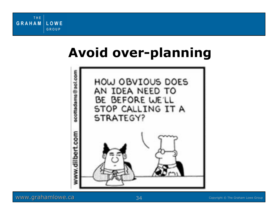## **Avoid over-planning**



www.grahamlowe.ca www.grahamlowe.ca 24 Copyright © The Graham Lowe Group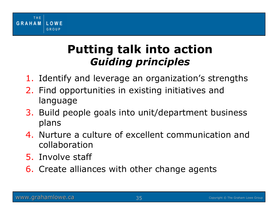

#### **Putting talk into action** *Guiding principles*

- 1. Identify and leverage an organization's strengths
- 2. Find opportunities in existing initiatives and language
- 3. Build people goals into unit/department business plans
- 4. Nurture a culture of excellent communication and collaboration
- 5. Involve staff
- **6.** Create alliances with other change agents